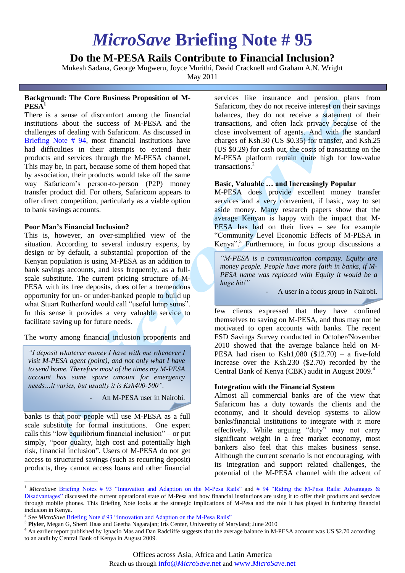# *MicroSave* **Briefing Note # 95**

# **Do the M-PESA Rails Contribute to Financial Inclusion?**

Mukesh Sadana, George Mugweru, Joyce Murithi, David Cracknell and Graham A.N. Wright

May 2011

## **Background: The Core Business Proposition of M-PESA<sup>1</sup>**

There is a sense of discomfort among the financial institutions about the success of M-PESA and the challenges of dealing with Safaricom. As discussed in [Briefing Note # 94,](http://www.microsave.net/resource/riding_the_m_pesa_rails_advantages_disadvantages#.UfDxptKxWSo) most financial institutions have had difficulties in their attempts to extend their products and services through the M-PESA channel. This may be, in part, because some of them hoped that by association, their products would take off the same way Safaricom's person-to-person (P2P) money transfer product did. For others, Safaricom appears to offer direct competition, particularly as a viable option to bank savings accounts.

# **Poor Man's Financial Inclusion?**

This is, however, an over-simplified view of the situation. According to several industry experts, by design or by default, a substantial proportion of the Kenyan population is using M-PESA as an addition to bank savings accounts, and less frequently, as a fullscale substitute. The current pricing structure of M-PESA with its free deposits, does offer a tremendous opportunity for un- or under-banked people to build up what Stuart Rutherford would call "useful lump sums". In this sense it provides a very valuable service to facilitate saving up for future needs.

The worry among financial inclusion proponents and

*"I deposit whatever money I have with me whenever I visit M-PESA agent (point), and not only what I have to send home. Therefore most of the times my M-PESA account has some spare amount for emergency needs…it varies, but usually it is Ksh400-500".* 

An M-PESA user in Nairobi.

banks is that poor people will use M-PESA as a full scale substitute for formal institutions. One expert calls this "low equilibrium financial inclusion" – or put simply, "poor quality, high cost and potentially high risk, financial inclusion". Users of M-PESA do not get access to structured savings (such as recurring deposit) products, they cannot access loans and other financial

 $\mathcal{L}_\text{max}$  and  $\mathcal{L}_\text{max}$  and  $\mathcal{L}_\text{max}$  and  $\mathcal{L}_\text{max}$ 

services like insurance and pension plans from Safaricom, they do not receive interest on their savings balances, they do not receive a statement of their transactions, and often lack privacy because of the close involvement of agents. And with the standard charges of Ksh.30 (US \$0.35) for transfer, and Ksh.25 (US \$0.29) for cash out, the costs of transacting on the M-PESA platform remain quite high for low-value transactions.<sup>2</sup>

# **Basic, Valuable … and Increasingly Popular**

M-PESA does provide excellent money transfer services and a very convenient, if basic, way to set aside money. Many research papers show that the average Kenyan is happy with the impact that M-PESA has had on their lives – see for example "Community Level Economic Effects of M-PESA in Kenya". 3 Furthermore, in focus group discussions a

*"M-PESA is a communication company. Equity are money people. People have more faith in banks, if M-PESA name was replaced with Equity it would be a huge hit!"*

A user in a focus group in Nairobi.

few clients expressed that they have confined themselves to saving on M-PESA, and thus may not be motivated to open accounts with banks. The recent FSD Savings Survey conducted in October/November 2010 showed that the average balance held on M-PESA had risen to Ksh1,080  $(\$12.70) - a$  five-fold increase over the Ksh.230 (\$2.70) recorded by the Central Bank of Kenya (CBK) audit in August 2009. 4

## **Integration with the Financial System**

Almost all commercial banks are of the view that Safaricom has a duty towards the clients and the economy, and it should develop systems to allow banks/financial institutions to integrate with it more effectively. While arguing "duty" may not carry significant weight in a free market economy, most bankers also feel that this makes business sense. Although the current scenario is not encouraging, with its integration and support related challenges, the potential of the M-PESA channel with the advent of

<sup>1</sup> *MicroSave* [Briefing Notes # 93 "Innovation and Adaption on the M-Pesa Rails"](http://www.microsave.net/resource/innovation_and_adaptation_on_the_m_pesa_rails#.UfDx-9KxWSp) and [# 94 "Riding the M-Pesa Rails: Advantages &](http://www.microsave.net/resource/riding_the_m_pesa_rails_advantages_disadvantages#.UfDyI9KxWSp)  [Disadvantages"](http://www.microsave.net/resource/riding_the_m_pesa_rails_advantages_disadvantages#.UfDyI9KxWSp) discussed the current operational state of M-Pesa and how financial institutions are using it to offer their products and services through mobile phones. This Briefing Note looks at the strategic implications of M-Pesa and the role it has played in furthering financial inclusion in Kenya.

<sup>&</sup>lt;sup>2</sup> See *MicroSave* Briefing Note #93 "Innovation and Adaption on the M-Pesa Rails"

<sup>3</sup> **Plyler**, Megan G, Sherri Haas and Geetha Nagarajan; Iris Center, Universtity of Maryland; June 2010

<sup>&</sup>lt;sup>4</sup> An earlier report published by Ignacio Mas and Dan Radcliffe suggests that the average balance in M-PESA account was US \$2.70 according to an audit by Central Bank of Kenya in August 2009.